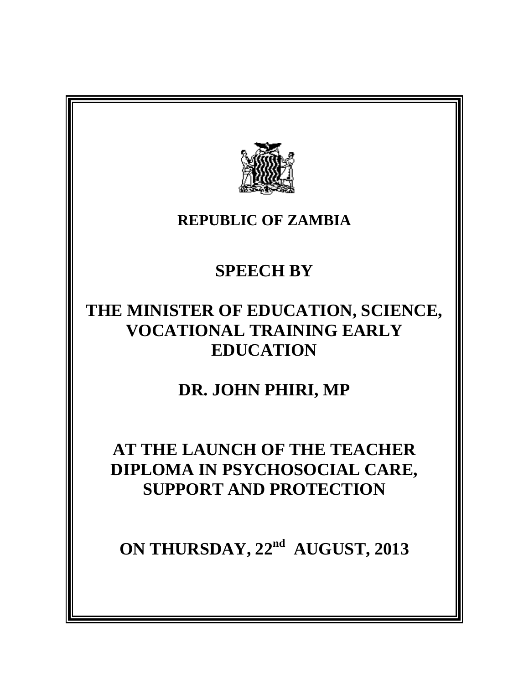

#### **REPUBLIC OF ZAMBIA**

# **SPEECH BY**

## **THE MINISTER OF EDUCATION, SCIENCE, VOCATIONAL TRAINING EARLY EDUCATION**

## **DR. JOHN PHIRI, MP**

#### **AT THE LAUNCH OF THE TEACHER DIPLOMA IN PSYCHOSOCIAL CARE, SUPPORT AND PROTECTION**

**ON THURSDAY, 22nd AUGUST, 2013**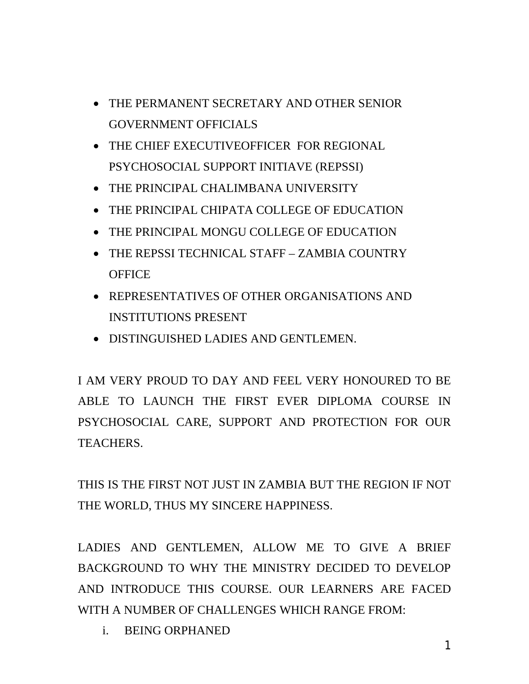- THE PERMANENT SECRETARY AND OTHER SENIOR GOVERNMENT OFFICIALS
- THE CHIEF EXECUTIVEOFFICER FOR REGIONAL PSYCHOSOCIAL SUPPORT INITIAVE (REPSSI)
- THE PRINCIPAL CHALIMBANA UNIVERSITY
- THE PRINCIPAL CHIPATA COLLEGE OF EDUCATION
- THE PRINCIPAL MONGU COLLEGE OF EDUCATION
- THE REPSSI TECHNICAL STAFF ZAMBIA COUNTRY **OFFICE**
- REPRESENTATIVES OF OTHER ORGANISATIONS AND INSTITUTIONS PRESENT
- DISTINGUISHED LADIES AND GENTLEMEN.

I AM VERY PROUD TO DAY AND FEEL VERY HONOURED TO BE ABLE TO LAUNCH THE FIRST EVER DIPLOMA COURSE IN PSYCHOSOCIAL CARE, SUPPORT AND PROTECTION FOR OUR TEACHERS.

THIS IS THE FIRST NOT JUST IN ZAMBIA BUT THE REGION IF NOT THE WORLD, THUS MY SINCERE HAPPINESS.

LADIES AND GENTLEMEN, ALLOW ME TO GIVE A BRIEF BACKGROUND TO WHY THE MINISTRY DECIDED TO DEVELOP AND INTRODUCE THIS COURSE. OUR LEARNERS ARE FACED WITH A NUMBER OF CHALLENGES WHICH RANGE FROM:

i. BEING ORPHANED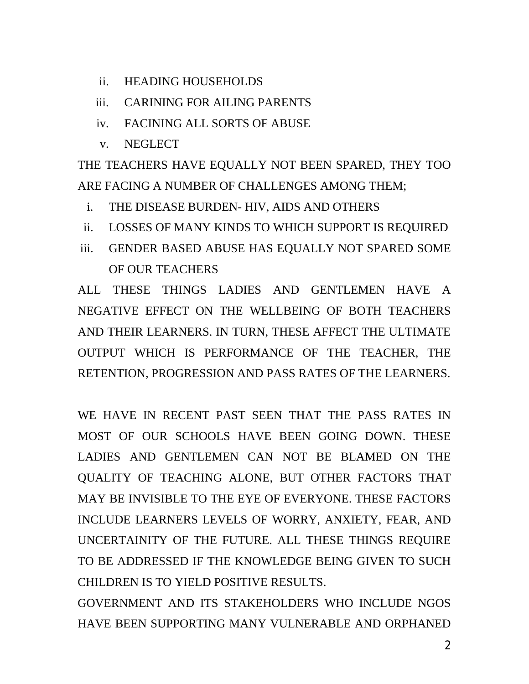- ii. HEADING HOUSEHOLDS
- iii. CARINING FOR AILING PARENTS
- iv. FACINING ALL SORTS OF ABUSE
- v. NEGLECT

THE TEACHERS HAVE EQUALLY NOT BEEN SPARED, THEY TOO ARE FACING A NUMBER OF CHALLENGES AMONG THEM;

- i. THE DISEASE BURDEN- HIV, AIDS AND OTHERS
- ii. LOSSES OF MANY KINDS TO WHICH SUPPORT IS REQUIRED
- iii. GENDER BASED ABUSE HAS EQUALLY NOT SPARED SOME OF OUR TEACHERS

ALL THESE THINGS LADIES AND GENTLEMEN HAVE A NEGATIVE EFFECT ON THE WELLBEING OF BOTH TEACHERS AND THEIR LEARNERS. IN TURN, THESE AFFECT THE ULTIMATE OUTPUT WHICH IS PERFORMANCE OF THE TEACHER, THE RETENTION, PROGRESSION AND PASS RATES OF THE LEARNERS.

WE HAVE IN RECENT PAST SEEN THAT THE PASS RATES IN MOST OF OUR SCHOOLS HAVE BEEN GOING DOWN. THESE LADIES AND GENTLEMEN CAN NOT BE BLAMED ON THE QUALITY OF TEACHING ALONE, BUT OTHER FACTORS THAT MAY BE INVISIBLE TO THE EYE OF EVERYONE. THESE FACTORS INCLUDE LEARNERS LEVELS OF WORRY, ANXIETY, FEAR, AND UNCERTAINITY OF THE FUTURE. ALL THESE THINGS REQUIRE TO BE ADDRESSED IF THE KNOWLEDGE BEING GIVEN TO SUCH CHILDREN IS TO YIELD POSITIVE RESULTS.

GOVERNMENT AND ITS STAKEHOLDERS WHO INCLUDE NGOS HAVE BEEN SUPPORTING MANY VULNERABLE AND ORPHANED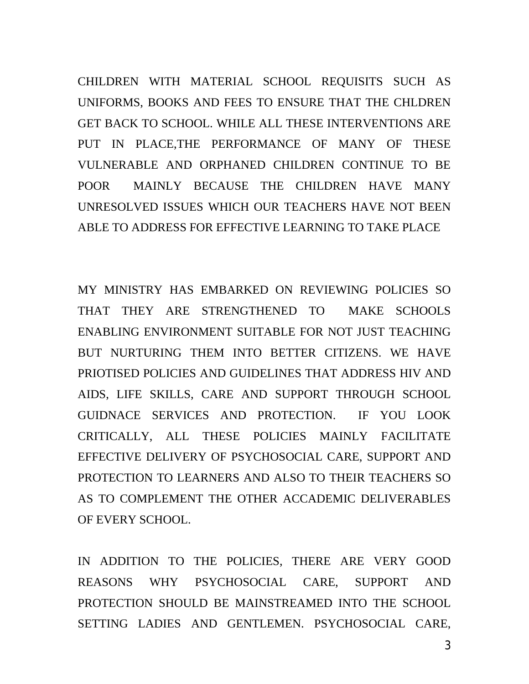CHILDREN WITH MATERIAL SCHOOL REQUISITS SUCH AS UNIFORMS, BOOKS AND FEES TO ENSURE THAT THE CHLDREN GET BACK TO SCHOOL. WHILE ALL THESE INTERVENTIONS ARE PUT IN PLACE,THE PERFORMANCE OF MANY OF THESE VULNERABLE AND ORPHANED CHILDREN CONTINUE TO BE POOR MAINLY BECAUSE THE CHILDREN HAVE MANY UNRESOLVED ISSUES WHICH OUR TEACHERS HAVE NOT BEEN ABLE TO ADDRESS FOR EFFECTIVE LEARNING TO TAKE PLACE

MY MINISTRY HAS EMBARKED ON REVIEWING POLICIES SO THAT THEY ARE STRENGTHENED TO MAKE SCHOOLS ENABLING ENVIRONMENT SUITABLE FOR NOT JUST TEACHING BUT NURTURING THEM INTO BETTER CITIZENS. WE HAVE PRIOTISED POLICIES AND GUIDELINES THAT ADDRESS HIV AND AIDS, LIFE SKILLS, CARE AND SUPPORT THROUGH SCHOOL GUIDNACE SERVICES AND PROTECTION. IF YOU LOOK CRITICALLY, ALL THESE POLICIES MAINLY FACILITATE EFFECTIVE DELIVERY OF PSYCHOSOCIAL CARE, SUPPORT AND PROTECTION TO LEARNERS AND ALSO TO THEIR TEACHERS SO AS TO COMPLEMENT THE OTHER ACCADEMIC DELIVERABLES OF EVERY SCHOOL.

IN ADDITION TO THE POLICIES, THERE ARE VERY GOOD REASONS WHY PSYCHOSOCIAL CARE, SUPPORT AND PROTECTION SHOULD BE MAINSTREAMED INTO THE SCHOOL SETTING LADIES AND GENTLEMEN. PSYCHOSOCIAL CARE,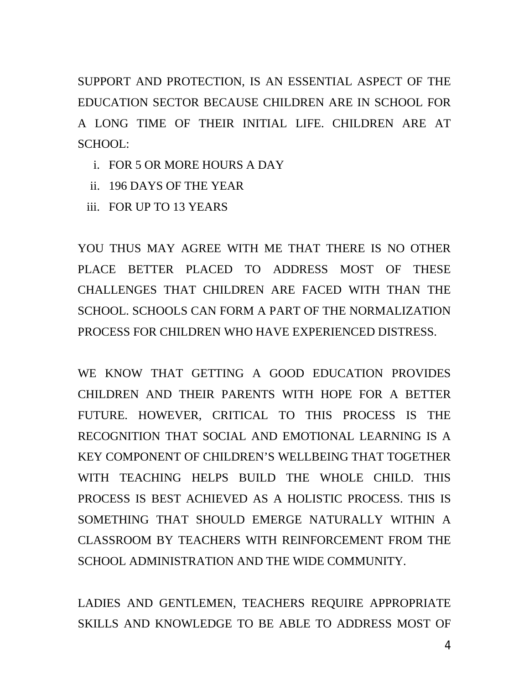SUPPORT AND PROTECTION, IS AN ESSENTIAL ASPECT OF THE EDUCATION SECTOR BECAUSE CHILDREN ARE IN SCHOOL FOR A LONG TIME OF THEIR INITIAL LIFE. CHILDREN ARE AT SCHOOL:

- i. FOR 5 OR MORE HOURS A DAY
- ii. 196 DAYS OF THE YEAR
- iii. FOR UP TO 13 YEARS

YOU THUS MAY AGREE WITH ME THAT THERE IS NO OTHER PLACE BETTER PLACED TO ADDRESS MOST OF THESE CHALLENGES THAT CHILDREN ARE FACED WITH THAN THE SCHOOL. SCHOOLS CAN FORM A PART OF THE NORMALIZATION PROCESS FOR CHILDREN WHO HAVE EXPERIENCED DISTRESS.

WE KNOW THAT GETTING A GOOD EDUCATION PROVIDES CHILDREN AND THEIR PARENTS WITH HOPE FOR A BETTER FUTURE. HOWEVER, CRITICAL TO THIS PROCESS IS THE RECOGNITION THAT SOCIAL AND EMOTIONAL LEARNING IS A KEY COMPONENT OF CHILDREN'S WELLBEING THAT TOGETHER WITH TEACHING HELPS BUILD THE WHOLE CHILD. THIS PROCESS IS BEST ACHIEVED AS A HOLISTIC PROCESS. THIS IS SOMETHING THAT SHOULD EMERGE NATURALLY WITHIN A CLASSROOM BY TEACHERS WITH REINFORCEMENT FROM THE SCHOOL ADMINISTRATION AND THE WIDE COMMUNITY.

LADIES AND GENTLEMEN, TEACHERS REQUIRE APPROPRIATE SKILLS AND KNOWLEDGE TO BE ABLE TO ADDRESS MOST OF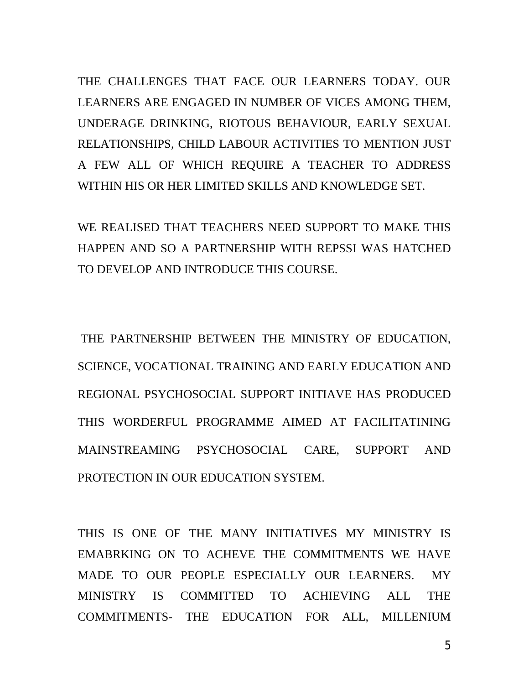THE CHALLENGES THAT FACE OUR LEARNERS TODAY. OUR LEARNERS ARE ENGAGED IN NUMBER OF VICES AMONG THEM, UNDERAGE DRINKING, RIOTOUS BEHAVIOUR, EARLY SEXUAL RELATIONSHIPS, CHILD LABOUR ACTIVITIES TO MENTION JUST A FEW ALL OF WHICH REQUIRE A TEACHER TO ADDRESS WITHIN HIS OR HER LIMITED SKILLS AND KNOWLEDGE SET.

WE REALISED THAT TEACHERS NEED SUPPORT TO MAKE THIS HAPPEN AND SO A PARTNERSHIP WITH REPSSI WAS HATCHED TO DEVELOP AND INTRODUCE THIS COURSE.

THE PARTNERSHIP BETWEEN THE MINISTRY OF EDUCATION, SCIENCE, VOCATIONAL TRAINING AND EARLY EDUCATION AND REGIONAL PSYCHOSOCIAL SUPPORT INITIAVE HAS PRODUCED THIS WORDERFUL PROGRAMME AIMED AT FACILITATINING MAINSTREAMING PSYCHOSOCIAL CARE, SUPPORT AND PROTECTION IN OUR EDUCATION SYSTEM.

THIS IS ONE OF THE MANY INITIATIVES MY MINISTRY IS EMABRKING ON TO ACHEVE THE COMMITMENTS WE HAVE MADE TO OUR PEOPLE ESPECIALLY OUR LEARNERS. MY MINISTRY IS COMMITTED TO ACHIEVING ALL THE COMMITMENTS- THE EDUCATION FOR ALL, MILLENIUM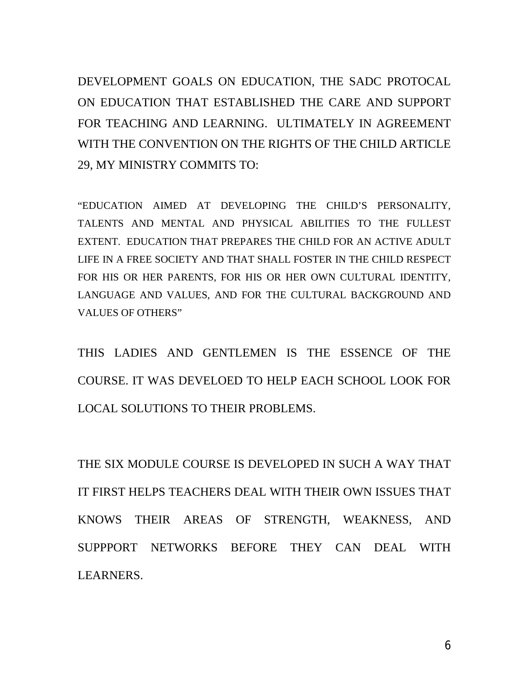DEVELOPMENT GOALS ON EDUCATION, THE SADC PROTOCAL ON EDUCATION THAT ESTABLISHED THE CARE AND SUPPORT FOR TEACHING AND LEARNING. ULTIMATELY IN AGREEMENT WITH THE CONVENTION ON THE RIGHTS OF THE CHILD ARTICLE 29, MY MINISTRY COMMITS TO:

"EDUCATION AIMED AT DEVELOPING THE CHILD'S PERSONALITY, TALENTS AND MENTAL AND PHYSICAL ABILITIES TO THE FULLEST EXTENT. EDUCATION THAT PREPARES THE CHILD FOR AN ACTIVE ADULT LIFE IN A FREE SOCIETY AND THAT SHALL FOSTER IN THE CHILD RESPECT FOR HIS OR HER PARENTS, FOR HIS OR HER OWN CULTURAL IDENTITY, LANGUAGE AND VALUES, AND FOR THE CULTURAL BACKGROUND AND VALUES OF OTHERS"

THIS LADIES AND GENTLEMEN IS THE ESSENCE OF THE COURSE. IT WAS DEVELOED TO HELP EACH SCHOOL LOOK FOR LOCAL SOLUTIONS TO THEIR PROBLEMS.

THE SIX MODULE COURSE IS DEVELOPED IN SUCH A WAY THAT IT FIRST HELPS TEACHERS DEAL WITH THEIR OWN ISSUES THAT KNOWS THEIR AREAS OF STRENGTH, WEAKNESS, AND SUPPPORT NETWORKS BEFORE THEY CAN DEAL WITH LEARNERS.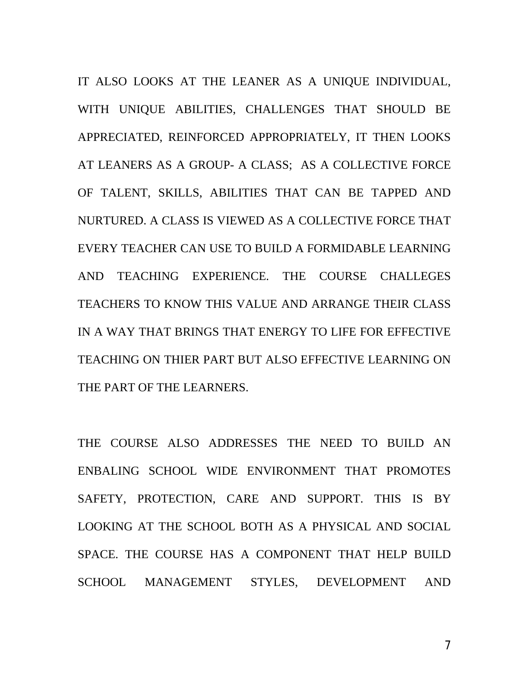IT ALSO LOOKS AT THE LEANER AS A UNIQUE INDIVIDUAL, WITH UNIQUE ABILITIES, CHALLENGES THAT SHOULD BE APPRECIATED, REINFORCED APPROPRIATELY, IT THEN LOOKS AT LEANERS AS A GROUP- A CLASS; AS A COLLECTIVE FORCE OF TALENT, SKILLS, ABILITIES THAT CAN BE TAPPED AND NURTURED. A CLASS IS VIEWED AS A COLLECTIVE FORCE THAT EVERY TEACHER CAN USE TO BUILD A FORMIDABLE LEARNING AND TEACHING EXPERIENCE. THE COURSE CHALLEGES TEACHERS TO KNOW THIS VALUE AND ARRANGE THEIR CLASS IN A WAY THAT BRINGS THAT ENERGY TO LIFE FOR EFFECTIVE TEACHING ON THIER PART BUT ALSO EFFECTIVE LEARNING ON THE PART OF THE LEARNERS.

THE COURSE ALSO ADDRESSES THE NEED TO BUILD AN ENBALING SCHOOL WIDE ENVIRONMENT THAT PROMOTES SAFETY, PROTECTION, CARE AND SUPPORT. THIS IS BY LOOKING AT THE SCHOOL BOTH AS A PHYSICAL AND SOCIAL SPACE. THE COURSE HAS A COMPONENT THAT HELP BUILD SCHOOL MANAGEMENT STYLES, DEVELOPMENT AND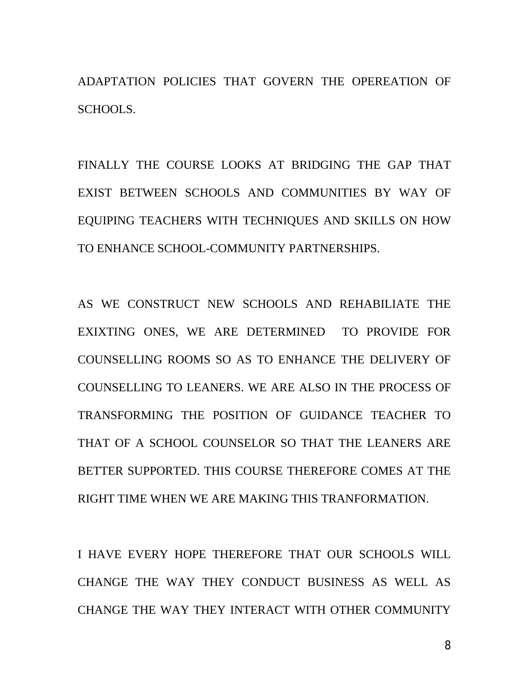ADAPTATION POLICIES THAT GOVERN THE OPEREATION OF SCHOOLS.

FINALLY THE COURSE LOOKS AT BRIDGING THE GAP THAT EXIST BETWEEN SCHOOLS AND COMMUNITIES BY WAY OF EQUIPING TEACHERS WITH TECHNIQUES AND SKILLS ON HOW TO ENHANCE SCHOOL-COMMUNITY PARTNERSHIPS.

AS WE CONSTRUCT NEW SCHOOLS AND REHABILIATE THE EXIXTING ONES, WE ARE DETERMINED TO PROVIDE FOR COUNSELLING ROOMS SO AS TO ENHANCE THE DELIVERY OF COUNSELLING TO LEANERS. WE ARE ALSO IN THE PROCESS OF TRANSFORMING THE POSITION OF GUIDANCE TEACHER TO THAT OF A SCHOOL COUNSELOR SO THAT THE LEANERS ARE BETTER SUPPORTED. THIS COURSE THEREFORE COMES AT THE RIGHT TIME WHEN WE ARE MAKING THIS TRANFORMATION.

I HAVE EVERY HOPE THEREFORE THAT OUR SCHOOLS WILL CHANGE THE WAY THEY CONDUCT BUSINESS AS WELL AS CHANGE THE WAY THEY INTERACT WITH OTHER COMMUNITY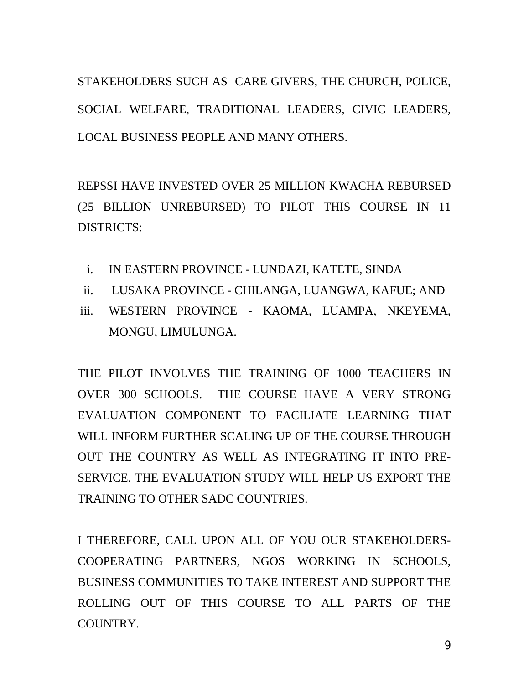STAKEHOLDERS SUCH AS CARE GIVERS, THE CHURCH, POLICE, SOCIAL WELFARE, TRADITIONAL LEADERS, CIVIC LEADERS, LOCAL BUSINESS PEOPLE AND MANY OTHERS.

REPSSI HAVE INVESTED OVER 25 MILLION KWACHA REBURSED (25 BILLION UNREBURSED) TO PILOT THIS COURSE IN 11 DISTRICTS:

- i. IN EASTERN PROVINCE LUNDAZI, KATETE, SINDA
- ii. LUSAKA PROVINCE CHILANGA, LUANGWA, KAFUE; AND
- iii. WESTERN PROVINCE KAOMA, LUAMPA, NKEYEMA, MONGU, LIMULUNGA.

THE PILOT INVOLVES THE TRAINING OF 1000 TEACHERS IN OVER 300 SCHOOLS. THE COURSE HAVE A VERY STRONG EVALUATION COMPONENT TO FACILIATE LEARNING THAT WILL INFORM FURTHER SCALING UP OF THE COURSE THROUGH OUT THE COUNTRY AS WELL AS INTEGRATING IT INTO PRE-SERVICE. THE EVALUATION STUDY WILL HELP US EXPORT THE TRAINING TO OTHER SADC COUNTRIES.

I THEREFORE, CALL UPON ALL OF YOU OUR STAKEHOLDERS-COOPERATING PARTNERS, NGOS WORKING IN SCHOOLS, BUSINESS COMMUNITIES TO TAKE INTEREST AND SUPPORT THE ROLLING OUT OF THIS COURSE TO ALL PARTS OF THE COUNTRY.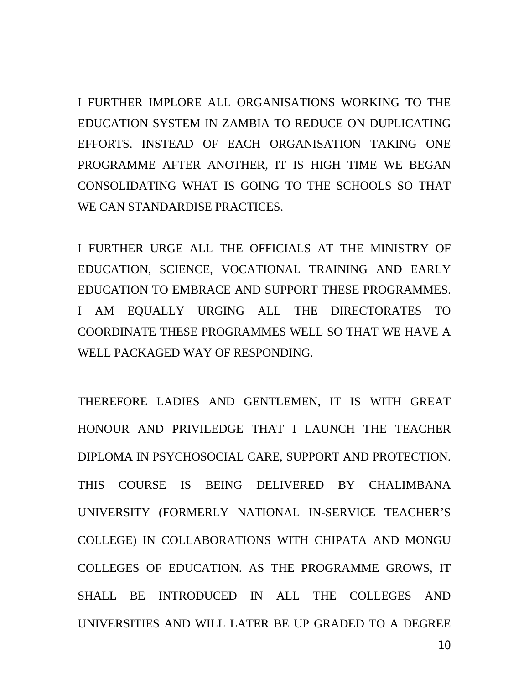I FURTHER IMPLORE ALL ORGANISATIONS WORKING TO THE EDUCATION SYSTEM IN ZAMBIA TO REDUCE ON DUPLICATING EFFORTS. INSTEAD OF EACH ORGANISATION TAKING ONE PROGRAMME AFTER ANOTHER, IT IS HIGH TIME WE BEGAN CONSOLIDATING WHAT IS GOING TO THE SCHOOLS SO THAT WE CAN STANDARDISE PRACTICES.

I FURTHER URGE ALL THE OFFICIALS AT THE MINISTRY OF EDUCATION, SCIENCE, VOCATIONAL TRAINING AND EARLY EDUCATION TO EMBRACE AND SUPPORT THESE PROGRAMMES. I AM EQUALLY URGING ALL THE DIRECTORATES TO COORDINATE THESE PROGRAMMES WELL SO THAT WE HAVE A WELL PACKAGED WAY OF RESPONDING.

THEREFORE LADIES AND GENTLEMEN, IT IS WITH GREAT HONOUR AND PRIVILEDGE THAT I LAUNCH THE TEACHER DIPLOMA IN PSYCHOSOCIAL CARE, SUPPORT AND PROTECTION. THIS COURSE IS BEING DELIVERED BY CHALIMBANA UNIVERSITY (FORMERLY NATIONAL IN-SERVICE TEACHER'S COLLEGE) IN COLLABORATIONS WITH CHIPATA AND MONGU COLLEGES OF EDUCATION. AS THE PROGRAMME GROWS, IT SHALL BE INTRODUCED IN ALL THE COLLEGES AND UNIVERSITIES AND WILL LATER BE UP GRADED TO A DEGREE